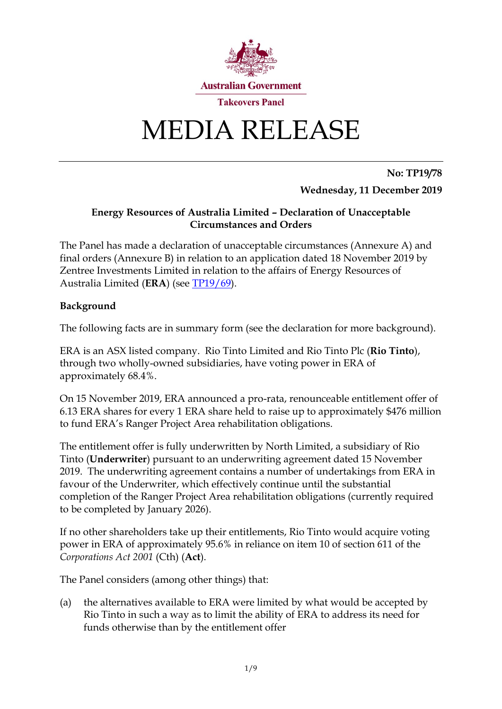

# MEDIA RELEASE

**No: TP19/78 Wednesday, 11 December 2019**

# **Energy Resources of Australia Limited – Declaration of Unacceptable Circumstances and Orders**

The Panel has made a declaration of unacceptable circumstances (Annexure A) and final orders (Annexure B) in relation to an application dated 18 November 2019 by Zentree Investments Limited in relation to the affairs of Energy Resources of Australia Limited (**ERA**) (see [TP19/69\)](https://www.takeovers.gov.au/content/DisplayDoc.aspx?doc=media_releases/2019/069.htm&pageID=&Year=).

# **Background**

The following facts are in summary form (see the declaration for more background).

ERA is an ASX listed company. Rio Tinto Limited and Rio Tinto Plc (**Rio Tinto**), through two wholly-owned subsidiaries, have voting power in ERA of approximately 68.4%.

On 15 November 2019, ERA announced a pro-rata, renounceable entitlement offer of 6.13 ERA shares for every 1 ERA share held to raise up to approximately \$476 million to fund ERA's Ranger Project Area rehabilitation obligations.

The entitlement offer is fully underwritten by North Limited, a subsidiary of Rio Tinto (**Underwriter**) pursuant to an underwriting agreement dated 15 November 2019. The underwriting agreement contains a number of undertakings from ERA in favour of the Underwriter, which effectively continue until the substantial completion of the Ranger Project Area rehabilitation obligations (currently required to be completed by January 2026).

If no other shareholders take up their entitlements, Rio Tinto would acquire voting power in ERA of approximately 95.6% in reliance on item 10 of section 611 of the *Corporations Act 2001* (Cth) (**Act**).

The Panel considers (among other things) that:

(a) the alternatives available to ERA were limited by what would be accepted by Rio Tinto in such a way as to limit the ability of ERA to address its need for funds otherwise than by the entitlement offer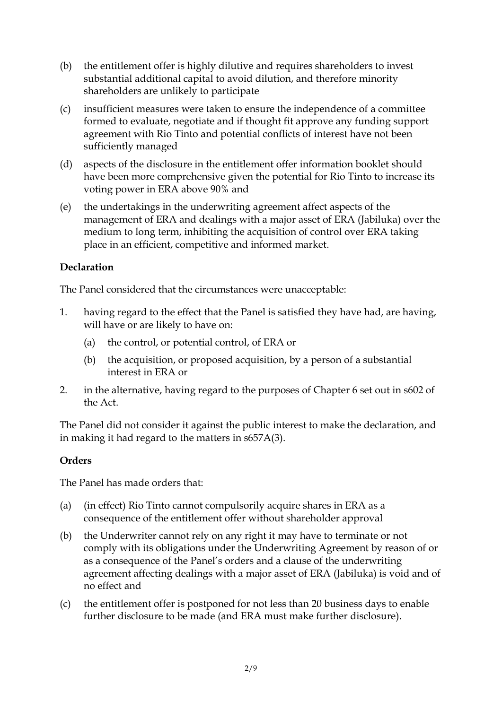- (b) the entitlement offer is highly dilutive and requires shareholders to invest substantial additional capital to avoid dilution, and therefore minority shareholders are unlikely to participate
- (c) insufficient measures were taken to ensure the independence of a committee formed to evaluate, negotiate and if thought fit approve any funding support agreement with Rio Tinto and potential conflicts of interest have not been sufficiently managed
- (d) aspects of the disclosure in the entitlement offer information booklet should have been more comprehensive given the potential for Rio Tinto to increase its voting power in ERA above 90% and
- (e) the undertakings in the underwriting agreement affect aspects of the management of ERA and dealings with a major asset of ERA (Jabiluka) over the medium to long term, inhibiting the acquisition of control over ERA taking place in an efficient, competitive and informed market.

# **Declaration**

The Panel considered that the circumstances were unacceptable:

- 1. having regard to the effect that the Panel is satisfied they have had, are having, will have or are likely to have on:
	- (a) the control, or potential control, of ERA or
	- (b) the acquisition, or proposed acquisition, by a person of a substantial interest in ERA or
- 2. in the alternative, having regard to the purposes of Chapter 6 set out in s602 of the Act.

The Panel did not consider it against the public interest to make the declaration, and in making it had regard to the matters in s657A(3).

# **Orders**

The Panel has made orders that:

- (a) (in effect) Rio Tinto cannot compulsorily acquire shares in ERA as a consequence of the entitlement offer without shareholder approval
- (b) the Underwriter cannot rely on any right it may have to terminate or not comply with its obligations under the Underwriting Agreement by reason of or as a consequence of the Panel's orders and a clause of the underwriting agreement affecting dealings with a major asset of ERA (Jabiluka) is void and of no effect and
- (c) the entitlement offer is postponed for not less than 20 business days to enable further disclosure to be made (and ERA must make further disclosure).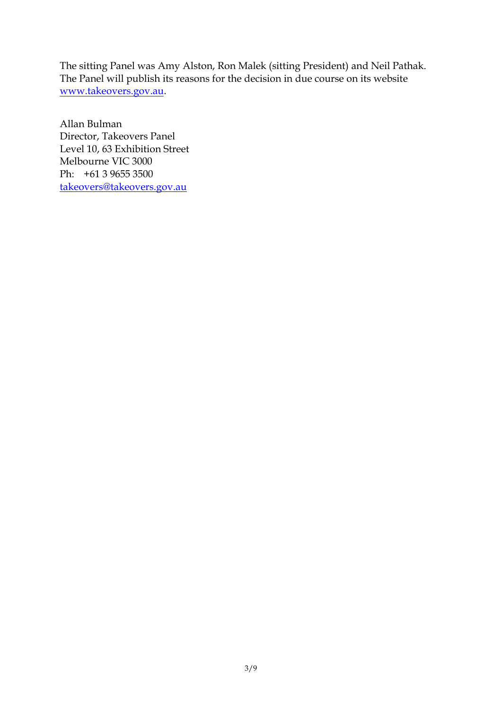The sitting Panel was Amy Alston, Ron Malek (sitting President) and Neil Pathak. The Panel will publish its reasons for the decision in due course on its website [www.takeovers.gov.au.](http://www.takeovers.gov.au/)

Allan Bulman Director, Takeovers Panel Level 10, 63 Exhibition Street Melbourne VIC 3000 Ph: +61 3 9655 3500 [takeovers@takeovers.gov.au](mailto:takeovers@takeovers.gov.au)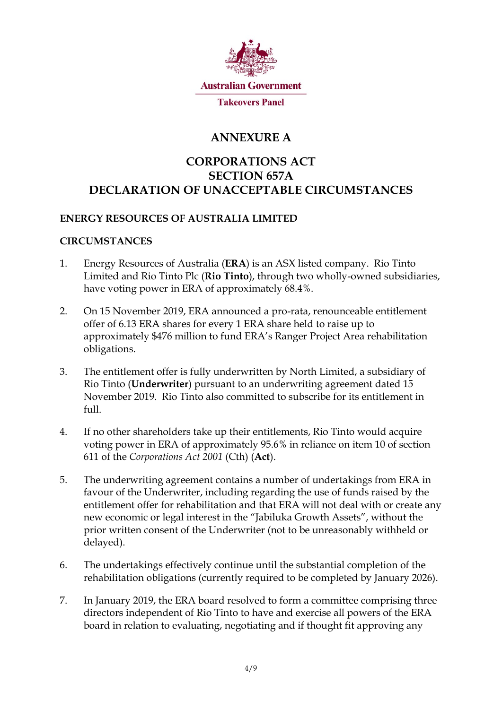

# **ANNEXURE A**

# **CORPORATIONS ACT SECTION 657A DECLARATION OF UNACCEPTABLE CIRCUMSTANCES**

# **ENERGY RESOURCES OF AUSTRALIA LIMITED**

# **CIRCUMSTANCES**

- 1. Energy Resources of Australia (**ERA**) is an ASX listed company. Rio Tinto Limited and Rio Tinto Plc (**Rio Tinto**), through two wholly-owned subsidiaries, have voting power in ERA of approximately 68.4%.
- 2. On 15 November 2019, ERA announced a pro-rata, renounceable entitlement offer of 6.13 ERA shares for every 1 ERA share held to raise up to approximately \$476 million to fund ERA's Ranger Project Area rehabilitation obligations.
- 3. The entitlement offer is fully underwritten by North Limited, a subsidiary of Rio Tinto (**Underwriter**) pursuant to an underwriting agreement dated 15 November 2019. Rio Tinto also committed to subscribe for its entitlement in full.
- 4. If no other shareholders take up their entitlements, Rio Tinto would acquire voting power in ERA of approximately 95.6% in reliance on item 10 of section 611 of the *Corporations Act 2001* (Cth) (**Act**).
- 5. The underwriting agreement contains a number of undertakings from ERA in favour of the Underwriter, including regarding the use of funds raised by the entitlement offer for rehabilitation and that ERA will not deal with or create any new economic or legal interest in the "Jabiluka Growth Assets", without the prior written consent of the Underwriter (not to be unreasonably withheld or delayed).
- 6. The undertakings effectively continue until the substantial completion of the rehabilitation obligations (currently required to be completed by January 2026).
- 7. In January 2019, the ERA board resolved to form a committee comprising three directors independent of Rio Tinto to have and exercise all powers of the ERA board in relation to evaluating, negotiating and if thought fit approving any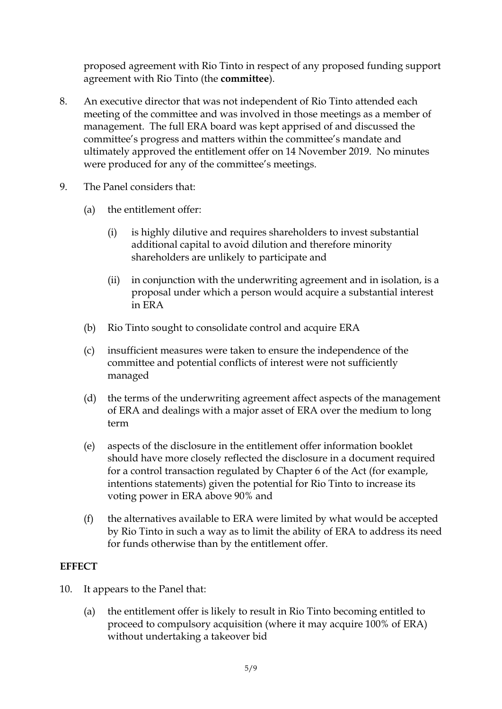proposed agreement with Rio Tinto in respect of any proposed funding support agreement with Rio Tinto (the **committee**).

- 8. An executive director that was not independent of Rio Tinto attended each meeting of the committee and was involved in those meetings as a member of management. The full ERA board was kept apprised of and discussed the committee's progress and matters within the committee's mandate and ultimately approved the entitlement offer on 14 November 2019. No minutes were produced for any of the committee's meetings.
- 9. The Panel considers that:
	- (a) the entitlement offer:
		- (i) is highly dilutive and requires shareholders to invest substantial additional capital to avoid dilution and therefore minority shareholders are unlikely to participate and
		- (ii) in conjunction with the underwriting agreement and in isolation, is a proposal under which a person would acquire a substantial interest in ERA
	- (b) Rio Tinto sought to consolidate control and acquire ERA
	- (c) insufficient measures were taken to ensure the independence of the committee and potential conflicts of interest were not sufficiently managed
	- (d) the terms of the underwriting agreement affect aspects of the management of ERA and dealings with a major asset of ERA over the medium to long term
	- (e) aspects of the disclosure in the entitlement offer information booklet should have more closely reflected the disclosure in a document required for a control transaction regulated by Chapter 6 of the Act (for example, intentions statements) given the potential for Rio Tinto to increase its voting power in ERA above 90% and
	- (f) the alternatives available to ERA were limited by what would be accepted by Rio Tinto in such a way as to limit the ability of ERA to address its need for funds otherwise than by the entitlement offer.

# **EFFECT**

- 10. It appears to the Panel that:
	- (a) the entitlement offer is likely to result in Rio Tinto becoming entitled to proceed to compulsory acquisition (where it may acquire 100% of ERA) without undertaking a takeover bid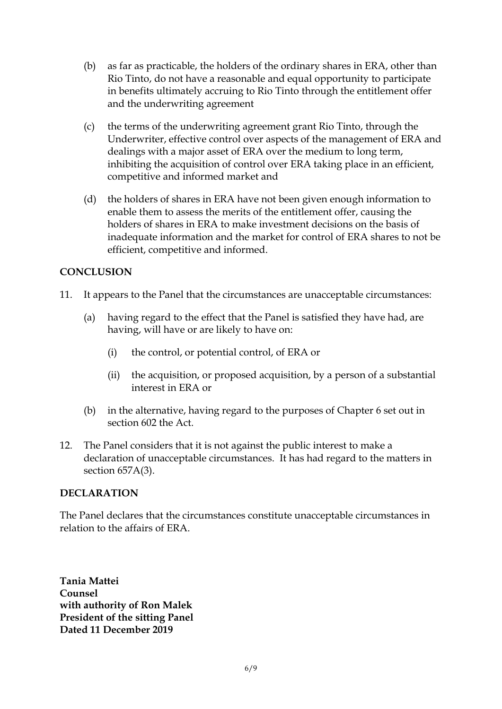- (b) as far as practicable, the holders of the ordinary shares in ERA, other than Rio Tinto, do not have a reasonable and equal opportunity to participate in benefits ultimately accruing to Rio Tinto through the entitlement offer and the underwriting agreement
- (c) the terms of the underwriting agreement grant Rio Tinto, through the Underwriter, effective control over aspects of the management of ERA and dealings with a major asset of ERA over the medium to long term, inhibiting the acquisition of control over ERA taking place in an efficient, competitive and informed market and
- (d) the holders of shares in ERA have not been given enough information to enable them to assess the merits of the entitlement offer, causing the holders of shares in ERA to make investment decisions on the basis of inadequate information and the market for control of ERA shares to not be efficient, competitive and informed.

# **CONCLUSION**

- 11. It appears to the Panel that the circumstances are unacceptable circumstances:
	- (a) having regard to the effect that the Panel is satisfied they have had, are having, will have or are likely to have on:
		- (i) the control, or potential control, of ERA or
		- (ii) the acquisition, or proposed acquisition, by a person of a substantial interest in ERA or
	- (b) in the alternative, having regard to the purposes of Chapter 6 set out in section 602 the Act.
- 12. The Panel considers that it is not against the public interest to make a declaration of unacceptable circumstances. It has had regard to the matters in section 657A(3).

# **DECLARATION**

The Panel declares that the circumstances constitute unacceptable circumstances in relation to the affairs of ERA.

**Tania Mattei Counsel with authority of Ron Malek President of the sitting Panel Dated 11 December 2019**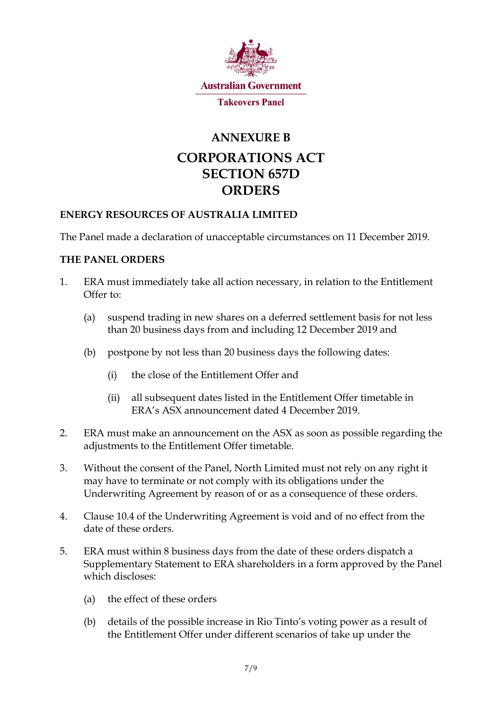

# **ANNEXURE B**

# **CORPORATIONS ACT SECTION 657D ORDERS**

# **ENERGY RESOURCES OF AUSTRALIA LIMITED**

The Panel made a declaration of unacceptable circumstances on 11 December 2019.

# **THE PANEL ORDERS**

- 1. ERA must immediately take all action necessary, in relation to the Entitlement Offer to:
	- (a) suspend trading in new shares on a deferred settlement basis for not less than 20 business days from and including 12 December 2019 and
	- (b) postpone by not less than 20 business days the following dates:
		- (i) the close of the Entitlement Offer and
		- (ii) all subsequent dates listed in the Entitlement Offer timetable in ERA's ASX announcement dated 4 December 2019.
- 2. ERA must make an announcement on the ASX as soon as possible regarding the adjustments to the Entitlement Offer timetable.
- 3. Without the consent of the Panel, North Limited must not rely on any right it may have to terminate or not comply with its obligations under the Underwriting Agreement by reason of or as a consequence of these orders.
- 4. Clause 10.4 of the Underwriting Agreement is void and of no effect from the date of these orders.
- 5. ERA must within 8 business days from the date of these orders dispatch a Supplementary Statement to ERA shareholders in a form approved by the Panel which discloses:
	- (a) the effect of these orders
	- (b) details of the possible increase in Rio Tinto's voting power as a result of the Entitlement Offer under different scenarios of take up under the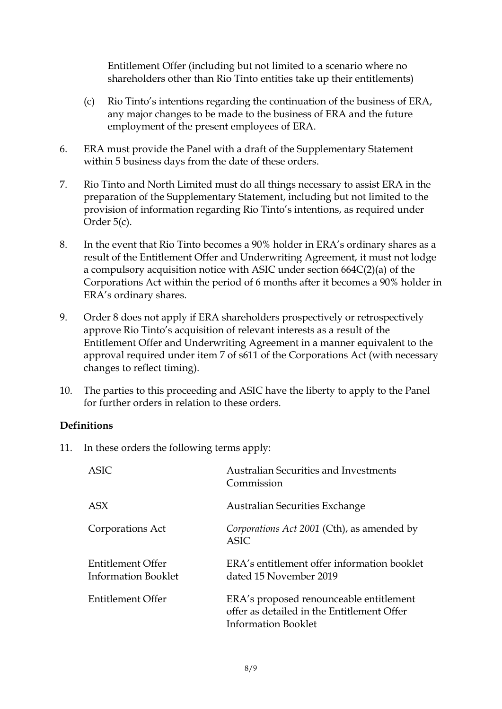Entitlement Offer (including but not limited to a scenario where no shareholders other than Rio Tinto entities take up their entitlements)

- (c) Rio Tinto's intentions regarding the continuation of the business of ERA, any major changes to be made to the business of ERA and the future employment of the present employees of ERA.
- 6. ERA must provide the Panel with a draft of the Supplementary Statement within 5 business days from the date of these orders.
- 7. Rio Tinto and North Limited must do all things necessary to assist ERA in the preparation of the Supplementary Statement, including but not limited to the provision of information regarding Rio Tinto's intentions, as required under Order 5(c).
- <span id="page-7-0"></span>8. In the event that Rio Tinto becomes a 90% holder in ERA's ordinary shares as a result of the Entitlement Offer and Underwriting Agreement, it must not lodge a compulsory acquisition notice with ASIC under section 664C(2)(a) of the Corporations Act within the period of 6 months after it becomes a 90% holder in ERA's ordinary shares.
- 9. Order [8](#page-7-0) does not apply if ERA shareholders prospectively or retrospectively approve Rio Tinto's acquisition of relevant interests as a result of the Entitlement Offer and Underwriting Agreement in a manner equivalent to the approval required under item 7 of s611 of the Corporations Act (with necessary changes to reflect timing).
- 10. The parties to this proceeding and ASIC have the liberty to apply to the Panel for further orders in relation to these orders.

# **Definitions**

11. In these orders the following terms apply:

| <b>ASIC</b>                                     | <b>Australian Securities and Investments</b><br>Commission                                                          |
|-------------------------------------------------|---------------------------------------------------------------------------------------------------------------------|
| <b>ASX</b>                                      | Australian Securities Exchange                                                                                      |
| Corporations Act                                | Corporations Act 2001 (Cth), as amended by<br>ASIC.                                                                 |
| Entitlement Offer<br><b>Information Booklet</b> | ERA's entitlement offer information booklet<br>dated 15 November 2019                                               |
| Entitlement Offer                               | ERA's proposed renounceable entitlement<br>offer as detailed in the Entitlement Offer<br><b>Information Booklet</b> |